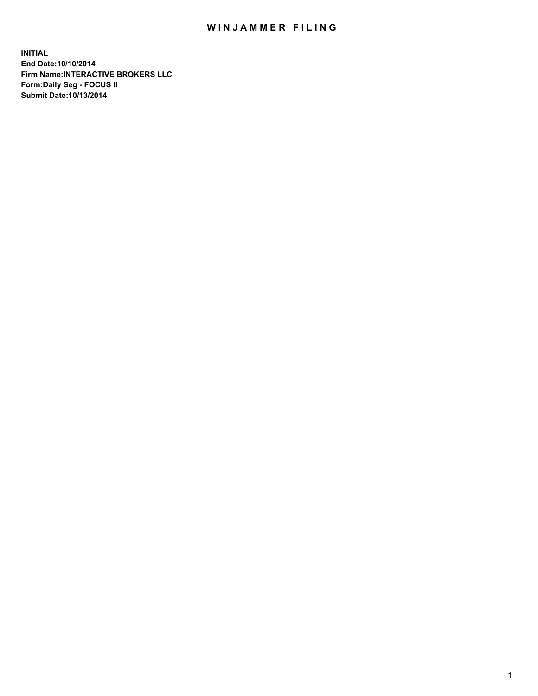## WIN JAMMER FILING

**INITIAL End Date:10/10/2014 Firm Name:INTERACTIVE BROKERS LLC Form:Daily Seg - FOCUS II Submit Date:10/13/2014**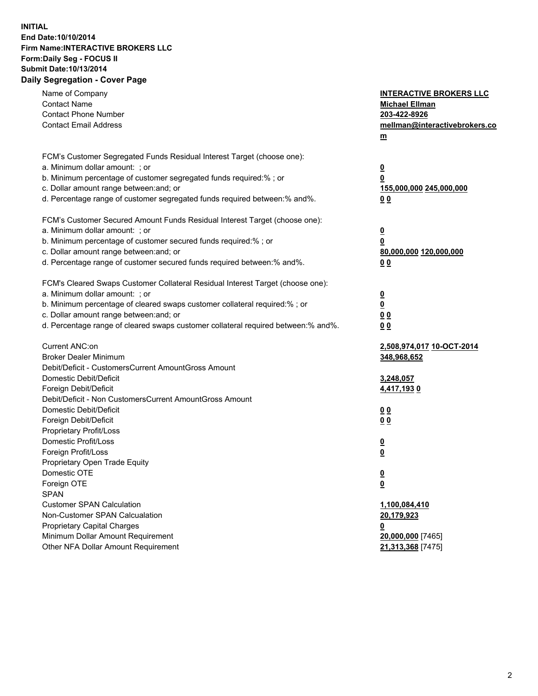## **INITIAL End Date:10/10/2014 Firm Name:INTERACTIVE BROKERS LLC Form:Daily Seg - FOCUS II Submit Date:10/13/2014 Daily Segregation - Cover Page**

| Name of Company<br><b>Contact Name</b><br><b>Contact Phone Number</b><br><b>Contact Email Address</b>                                                                                                                                                                                                                          | <b>INTERACTIVE BROKERS LLC</b><br><b>Michael Ellman</b><br>203-422-8926<br>mellman@interactivebrokers.co<br>m |
|--------------------------------------------------------------------------------------------------------------------------------------------------------------------------------------------------------------------------------------------------------------------------------------------------------------------------------|---------------------------------------------------------------------------------------------------------------|
| FCM's Customer Segregated Funds Residual Interest Target (choose one):<br>a. Minimum dollar amount: ; or<br>b. Minimum percentage of customer segregated funds required:% ; or<br>c. Dollar amount range between: and; or<br>d. Percentage range of customer segregated funds required between:% and%.                         | $\overline{\mathbf{0}}$<br>0<br>155,000,000 245,000,000<br>00                                                 |
| FCM's Customer Secured Amount Funds Residual Interest Target (choose one):<br>a. Minimum dollar amount: ; or<br>b. Minimum percentage of customer secured funds required:% ; or<br>c. Dollar amount range between: and; or<br>d. Percentage range of customer secured funds required between:% and%.                           | $\overline{\mathbf{0}}$<br>0<br>80,000,000 120,000,000<br>0 <sub>0</sub>                                      |
| FCM's Cleared Swaps Customer Collateral Residual Interest Target (choose one):<br>a. Minimum dollar amount: ; or<br>b. Minimum percentage of cleared swaps customer collateral required:% ; or<br>c. Dollar amount range between: and; or<br>d. Percentage range of cleared swaps customer collateral required between:% and%. | $\overline{\mathbf{0}}$<br><u>0</u><br>0 <sub>0</sub><br>0 <sub>0</sub>                                       |
| Current ANC:on<br><b>Broker Dealer Minimum</b><br>Debit/Deficit - CustomersCurrent AmountGross Amount<br>Domestic Debit/Deficit                                                                                                                                                                                                | 2,508,974,017 10-OCT-2014<br>348,968,652<br>3,248,057                                                         |
| Foreign Debit/Deficit<br>Debit/Deficit - Non CustomersCurrent AmountGross Amount<br>Domestic Debit/Deficit<br>Foreign Debit/Deficit<br>Proprietary Profit/Loss<br>Domestic Profit/Loss                                                                                                                                         | 4,417,1930<br>0 <sub>0</sub><br>0 <sub>0</sub><br>$\overline{\mathbf{0}}$                                     |
| Foreign Profit/Loss<br>Proprietary Open Trade Equity<br>Domestic OTE<br>Foreign OTE<br><b>SPAN</b><br><b>Customer SPAN Calculation</b>                                                                                                                                                                                         | $\overline{\mathbf{0}}$<br>$\overline{\mathbf{0}}$<br><u>0</u><br>1,100,084,410                               |
| Non-Customer SPAN Calcualation<br><b>Proprietary Capital Charges</b><br>Minimum Dollar Amount Requirement<br>Other NFA Dollar Amount Requirement                                                                                                                                                                               | 20,179,923<br><u>0</u><br>20,000,000 [7465]<br>21,313,368 [7475]                                              |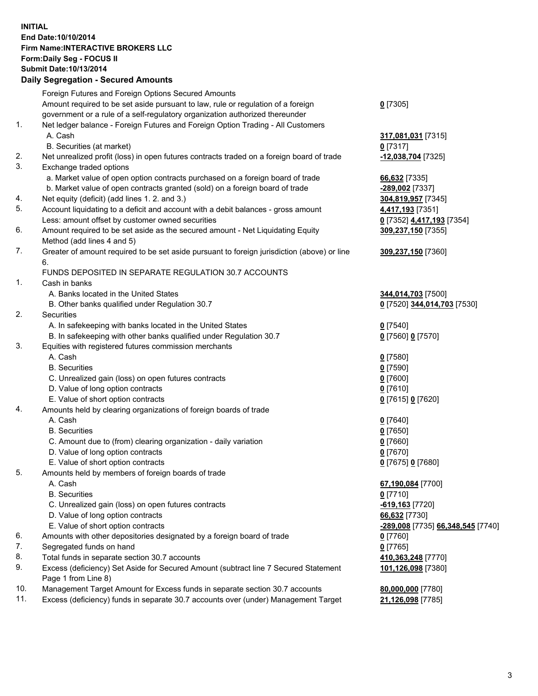## **INITIAL End Date:10/10/2014 Firm Name:INTERACTIVE BROKERS LLC Form:Daily Seg - FOCUS II Submit Date:10/13/2014 Daily Segregation - Secured Amounts**

|                | Dany Oogregation - Oecarea Amounts                                                          |                                   |
|----------------|---------------------------------------------------------------------------------------------|-----------------------------------|
|                | Foreign Futures and Foreign Options Secured Amounts                                         |                                   |
|                | Amount required to be set aside pursuant to law, rule or regulation of a foreign            | $0$ [7305]                        |
|                | government or a rule of a self-regulatory organization authorized thereunder                |                                   |
| 1.             | Net ledger balance - Foreign Futures and Foreign Option Trading - All Customers             |                                   |
|                | A. Cash                                                                                     | 317,081,031 [7315]                |
|                | B. Securities (at market)                                                                   | $0$ [7317]                        |
| 2.             | Net unrealized profit (loss) in open futures contracts traded on a foreign board of trade   | -12,038,704 [7325]                |
| 3.             | Exchange traded options                                                                     |                                   |
|                | a. Market value of open option contracts purchased on a foreign board of trade              | 66,632 [7335]                     |
|                | b. Market value of open contracts granted (sold) on a foreign board of trade                | -289,002 [7337]                   |
| 4.             | Net equity (deficit) (add lines 1.2. and 3.)                                                | 304,819,957 [7345]                |
| 5.             | Account liquidating to a deficit and account with a debit balances - gross amount           | 4,417,193 [7351]                  |
|                | Less: amount offset by customer owned securities                                            | 0 [7352] 4,417,193 [7354]         |
| 6.             | Amount required to be set aside as the secured amount - Net Liquidating Equity              | 309,237,150 [7355]                |
|                | Method (add lines 4 and 5)                                                                  |                                   |
| 7.             | Greater of amount required to be set aside pursuant to foreign jurisdiction (above) or line | 309,237,150 [7360]                |
|                | 6.                                                                                          |                                   |
|                | FUNDS DEPOSITED IN SEPARATE REGULATION 30.7 ACCOUNTS                                        |                                   |
| $\mathbf{1}$ . | Cash in banks                                                                               |                                   |
|                | A. Banks located in the United States                                                       | 344,014,703 [7500]                |
|                | B. Other banks qualified under Regulation 30.7                                              | 0 [7520] 344,014,703 [7530]       |
| 2.             | Securities                                                                                  |                                   |
|                | A. In safekeeping with banks located in the United States                                   | $0$ [7540]                        |
|                | B. In safekeeping with other banks qualified under Regulation 30.7                          | 0 [7560] 0 [7570]                 |
| 3.             | Equities with registered futures commission merchants                                       |                                   |
|                | A. Cash                                                                                     | $0$ [7580]                        |
|                | <b>B.</b> Securities                                                                        | $0$ [7590]                        |
|                | C. Unrealized gain (loss) on open futures contracts                                         | $0$ [7600]                        |
|                | D. Value of long option contracts                                                           | $0$ [7610]                        |
|                | E. Value of short option contracts                                                          | 0 [7615] 0 [7620]                 |
| 4.             | Amounts held by clearing organizations of foreign boards of trade                           |                                   |
|                | A. Cash                                                                                     | $0$ [7640]                        |
|                | <b>B.</b> Securities                                                                        | $0$ [7650]                        |
|                | C. Amount due to (from) clearing organization - daily variation                             | $0$ [7660]                        |
|                | D. Value of long option contracts                                                           | $0$ [7670]                        |
| 5.             | E. Value of short option contracts                                                          | 0 [7675] 0 [7680]                 |
|                | Amounts held by members of foreign boards of trade<br>A. Cash                               |                                   |
|                | <b>B.</b> Securities                                                                        | 67,190,084 [7700]<br>$0$ [7710]   |
|                | C. Unrealized gain (loss) on open futures contracts                                         | -619,163 <sup>[7720]</sup>        |
|                | D. Value of long option contracts                                                           | 66,632 [7730]                     |
|                | E. Value of short option contracts                                                          | -289,008 [7735] 66,348,545 [7740] |
| 6.             | Amounts with other depositories designated by a foreign board of trade                      | 0 [7760]                          |
| 7.             | Segregated funds on hand                                                                    | $0$ [7765]                        |
| 8.             | Total funds in separate section 30.7 accounts                                               | 410,363,248 [7770]                |
| 9.             | Excess (deficiency) Set Aside for Secured Amount (subtract line 7 Secured Statement         |                                   |
|                | Page 1 from Line 8)                                                                         | 101,126,098 [7380]                |
| 10.            | Management Target Amount for Excess funds in separate section 30.7 accounts                 | 80,000,000 [7780]                 |
| 11.            | Excess (deficiency) funds in separate 30.7 accounts over (under) Management Target          | 21,126,098 [7785]                 |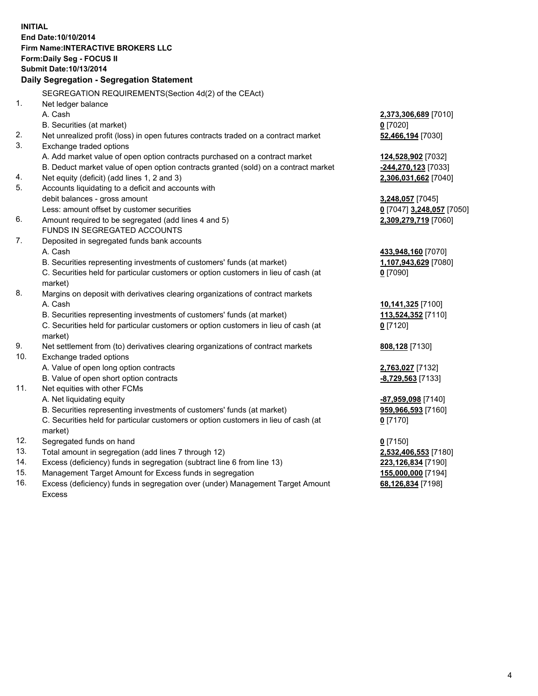**INITIAL End Date:10/10/2014 Firm Name:INTERACTIVE BROKERS LLC Form:Daily Seg - FOCUS II Submit Date:10/13/2014 Daily Segregation - Segregation Statement** SEGREGATION REQUIREMENTS(Section 4d(2) of the CEAct) 1. Net ledger balance A. Cash **2,373,306,689** [7010] B. Securities (at market) **0** [7020] 2. Net unrealized profit (loss) in open futures contracts traded on a contract market **52,466,194** [7030] 3. Exchange traded options A. Add market value of open option contracts purchased on a contract market **124,528,902** [7032] B. Deduct market value of open option contracts granted (sold) on a contract market **-244,270,123** [7033] 4. Net equity (deficit) (add lines 1, 2 and 3) **2,306,031,662** [7040] 5. Accounts liquidating to a deficit and accounts with debit balances - gross amount **3,248,057** [7045] Less: amount offset by customer securities **0** [7047] **3,248,057** [7050] 6. Amount required to be segregated (add lines 4 and 5) **2,309,279,719** [7060] FUNDS IN SEGREGATED ACCOUNTS 7. Deposited in segregated funds bank accounts A. Cash **433,948,160** [7070] B. Securities representing investments of customers' funds (at market) **1,107,943,629** [7080] C. Securities held for particular customers or option customers in lieu of cash (at market) **0** [7090] 8. Margins on deposit with derivatives clearing organizations of contract markets A. Cash **10,141,325** [7100] B. Securities representing investments of customers' funds (at market) **113,524,352** [7110] C. Securities held for particular customers or option customers in lieu of cash (at market) **0** [7120] 9. Net settlement from (to) derivatives clearing organizations of contract markets **808,128** [7130] 10. Exchange traded options A. Value of open long option contracts **2,763,027** [7132] B. Value of open short option contracts **-8,729,563** [7133] 11. Net equities with other FCMs A. Net liquidating equity **-87,959,098** [7140] B. Securities representing investments of customers' funds (at market) **959,966,593** [7160] C. Securities held for particular customers or option customers in lieu of cash (at market) **0** [7170] 12. Segregated funds on hand **0** [7150] 13. Total amount in segregation (add lines 7 through 12) **2,532,406,553** [7180] 14. Excess (deficiency) funds in segregation (subtract line 6 from line 13) **223,126,834** [7190] 15. Management Target Amount for Excess funds in segregation **155,000,000** [7194]

16. Excess (deficiency) funds in segregation over (under) Management Target Amount Excess

**68,126,834** [7198]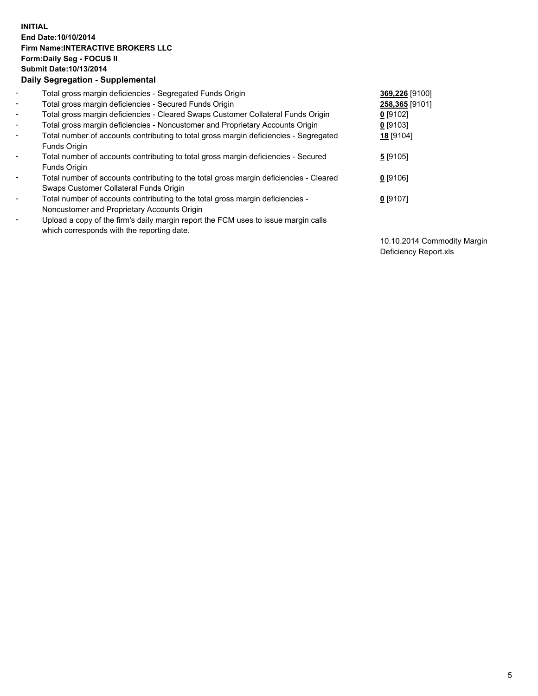## **INITIAL End Date:10/10/2014 Firm Name:INTERACTIVE BROKERS LLC Form:Daily Seg - FOCUS II Submit Date:10/13/2014 Daily Segregation - Supplemental**

| $\blacksquare$ | Total gross margin deficiencies - Segregated Funds Origin                              | 369,226 [9100] |
|----------------|----------------------------------------------------------------------------------------|----------------|
| $\blacksquare$ | Total gross margin deficiencies - Secured Funds Origin                                 | 258,365 [9101] |
| $\blacksquare$ | Total gross margin deficiencies - Cleared Swaps Customer Collateral Funds Origin       | $0$ [9102]     |
| $\blacksquare$ | Total gross margin deficiencies - Noncustomer and Proprietary Accounts Origin          | $0$ [9103]     |
| $\blacksquare$ | Total number of accounts contributing to total gross margin deficiencies - Segregated  | 18 [9104]      |
|                | Funds Origin                                                                           |                |
| $\sim$         | Total number of accounts contributing to total gross margin deficiencies - Secured     | $5$ [9105]     |
|                | <b>Funds Origin</b>                                                                    |                |
| $\blacksquare$ | Total number of accounts contributing to the total gross margin deficiencies - Cleared | $0$ [9106]     |
|                | Swaps Customer Collateral Funds Origin                                                 |                |
| $\blacksquare$ | Total number of accounts contributing to the total gross margin deficiencies -         | $0$ [9107]     |
|                | Noncustomer and Proprietary Accounts Origin                                            |                |
| $\blacksquare$ | Upload a copy of the firm's daily margin report the FCM uses to issue margin calls     |                |
|                | which corresponds with the reporting date.                                             |                |

10.10.2014 Commodity Margin Deficiency Report.xls